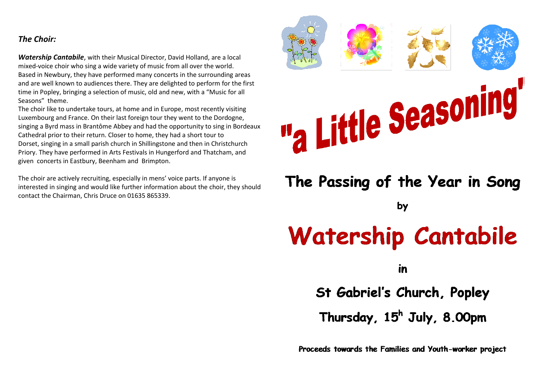# *The Choir:*

*Watership Cantabile*, with their Musical Director, David Holland, are a local mixed-voice choir who sing a wide variety of music from all over the world. Based in Newbury, they have performed many concerts in the surrounding areas and are well known to audiences there. They are delighted to perform for the first time in Popley, bringing a selection of music, old and new, with a "Music for all Seasons" theme.

The choir like to undertake tours, at home and in Europe, most recently visiting Luxembourg and France. On their last foreign tour they went to the Dordogne, singing a Byrd mass in Brantôme Abbey and had the opportunity to sing in Bordeaux Cathedral prior to their return. Closer to home, they had a short tour to Dorset, singing in a small parish church in Shillingstone and then in Christchurch Priory. They have performed in Arts Festivals in Hungerford and Thatcham, and given concerts in Eastbury, Beenham and Brimpton.

The choir are actively recruiting, especially in mens' voice parts. If anyone is interested in singing and would like further information about the choir, they should contact the Chairman, Chris Druce on 01635 865339.



# **Watership Cantabile**

in

St Gabriel's Church, Popley

Thursday, 15<sup>h</sup> July, 8.00pm

Proceeds towards the Families and Youth-worker project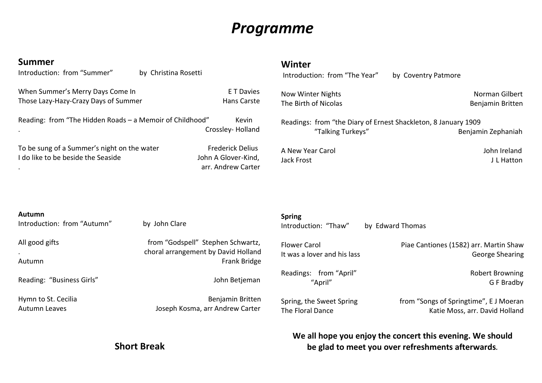# *Programme*

| <b>Summer</b><br>Introduction: from "Summer"                                      | by Christina Rosetti                                                                     | Winter<br>Introduction: from "The Year"                                             | by Coventry Patmore                                                      |  |
|-----------------------------------------------------------------------------------|------------------------------------------------------------------------------------------|-------------------------------------------------------------------------------------|--------------------------------------------------------------------------|--|
| When Summer's Merry Days Come In<br>Those Lazy-Hazy-Crazy Days of Summer          | E T Davies<br>Hans Carste                                                                | <b>Now Winter Nights</b><br>The Birth of Nicolas                                    | Norman Gilbert<br>Benjamin Britten                                       |  |
| Reading: from "The Hidden Roads - a Memoir of Childhood"                          | Kevin<br>Crossley-Holland                                                                | Readings: from "the Diary of Ernest Shackleton, 8 January 1909<br>"Talking Turkeys" | Benjamin Zephaniah                                                       |  |
| To be sung of a Summer's night on the water<br>I do like to be beside the Seaside | <b>Frederick Delius</b><br>John A Glover-Kind,<br>arr. Andrew Carter                     | A New Year Carol<br>Jack Frost                                                      | John Ireland<br>J L Hatton                                               |  |
|                                                                                   |                                                                                          |                                                                                     |                                                                          |  |
| Autumn<br>Introduction: from "Autumn"<br>by John Clare                            |                                                                                          | <b>Spring</b><br>Introduction: "Thaw"<br>by Edward Thomas                           |                                                                          |  |
| All good gifts<br>Autumn                                                          | from "Godspell" Stephen Schwartz,<br>choral arrangement by David Holland<br>Frank Bridge | <b>Flower Carol</b><br>It was a lover and his lass                                  | Piae Cantiones (1582) arr. Martin Shaw<br><b>George Shearing</b>         |  |
| Reading: "Business Girls"                                                         | John Betjeman                                                                            | Readings: from "April"<br>"April"                                                   | <b>Robert Browning</b><br>G F Bradby                                     |  |
| Hymn to St. Cecilia<br><b>Autumn Leaves</b>                                       | Benjamin Britten<br>Joseph Kosma, arr Andrew Carter                                      | Spring, the Sweet Spring<br>The Floral Dance                                        | from "Songs of Springtime", E J Moeran<br>Katie Moss, arr. David Holland |  |
|                                                                                   |                                                                                          | <u>Ula all bana yay anisy tha sansant this sysping Ula shauldi</u>                  |                                                                          |  |

**Short Break**

# **We all hope you enjoy the concert this evening. We should be glad to meet you over refreshments afterwards***.*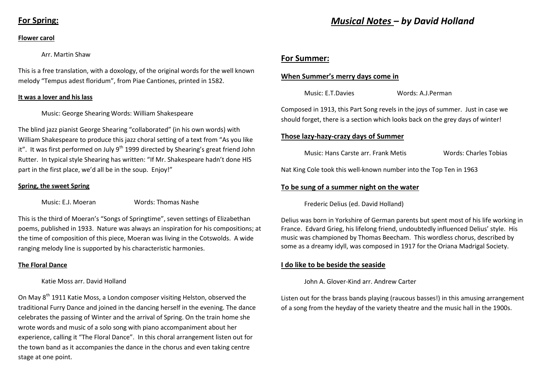# **For Spring:**

#### **Flower carol**

#### Arr. Martin Shaw

This is a free translation, with a doxology, of the original words for the well known melody "Tempus adest floridum", from Piae Cantiones, printed in 1582.

#### **It was a lover and his lass**

#### Music: George Shearing Words: William Shakespeare

The blind jazz pianist George Shearing "collaborated" (in his own words) with William Shakespeare to produce this jazz choral setting of a text from "As you like it". It was first performed on July  $9<sup>th</sup>$  1999 directed by Shearing's great friend John Rutter. In typical style Shearing has written: "If Mr. Shakespeare hadn't done HIS part in the first place, we'd all be in the soup. Enjoy!"

#### **Spring, the sweet Spring**

Music: E.J. Moeran Words: Thomas Nashe

This is the third of Moeran's "Songs of Springtime", seven settings of Elizabethan poems, published in 1933. Nature was always an inspiration for his compositions; at the time of composition of this piece, Moeran was living in the Cotswolds. A wide ranging melody line is supported by his characteristic harmonies.

#### **The Floral Dance**

#### Katie Moss arr. David Holland

On May 8<sup>th</sup> 1911 Katie Moss, a London composer visiting Helston, observed the traditional Furry Dance and joined in the dancing herself in the evening. The dance celebrates the passing of Winter and the arrival of Spring. On the train home she wrote words and music of a solo song with piano accompaniment about her experience, calling it "The Floral Dance". In this choral arrangement listen out for the town band as it accompanies the dance in the chorus and even taking centre stage at one point.

# *Musical Notes – by David Holland*

### **For Summer:**

#### **When Summer's merry days come in**

Music: E.T.Davies Words: A.J.Perman

Composed in 1913, this Part Song revels in the joys of summer. Just in case we should forget, there is a section which looks back on the grey days of winter!

#### **Those lazy-hazy-crazy days of Summer**

Music: Hans Carste arr. Frank Metis Words: Charles Tobias

Nat King Cole took this well-known number into the Top Ten in 1963

#### **To be sung of a summer night on the water**

Frederic Delius (ed. David Holland)

Delius was born in Yorkshire of German parents but spent most of his life working in France. Edvard Grieg, his lifelong friend, undoubtedly influenced Delius' style. His music was championed by Thomas Beecham. This wordless chorus, described by some as a dreamy idyll, was composed in 1917 for the Oriana Madrigal Society.

#### **I do like to be beside the seaside**

John A. Glover-Kind arr. Andrew Carter

Listen out for the brass bands playing (raucous basses!) in this amusing arrangement of a song from the heyday of the variety theatre and the music hall in the 1900s.